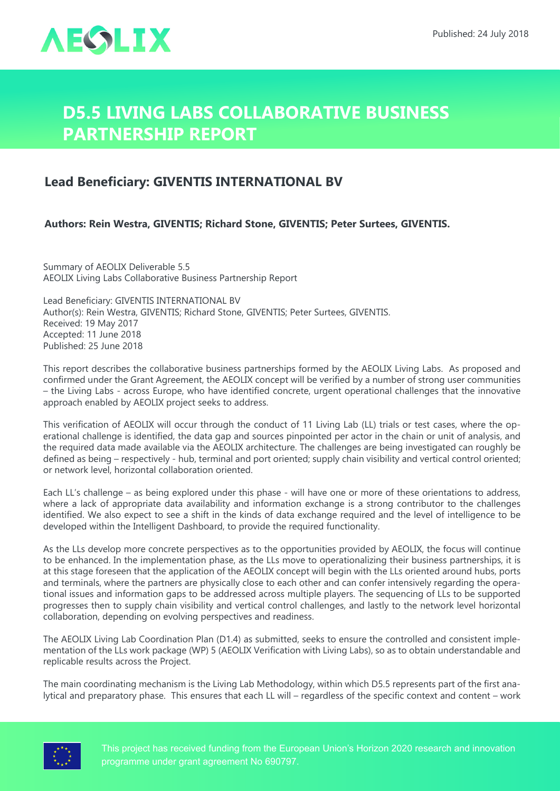

## **D5.5 Living Labs Collaborative Business Partnership Report**

## **Lead Beneficiary: GIVENTIS INTERNATIONAL BV**

## **Authors: Rein Westra, GIVENTIS; Richard Stone, GIVENTIS; Peter Surtees, GIVENTIS.**

Summary of AEOLIX Deliverable 5.5 AEOLIX Living Labs Collaborative Business Partnership Report

Lead Beneficiary: GIVENTIS INTERNATIONAL BV Author(s): Rein Westra, GIVENTIS; Richard Stone, GIVENTIS; Peter Surtees, GIVENTIS. Received: 19 May 2017 Accepted: 11 June 2018 Published: 25 June 2018

This report describes the collaborative business partnerships formed by the AEOLIX Living Labs. As proposed and confirmed under the Grant Agreement, the AEOLIX concept will be verified by a number of strong user communities – the Living Labs - across Europe, who have identified concrete, urgent operational challenges that the innovative approach enabled by AEOLIX project seeks to address.

This verification of AEOLIX will occur through the conduct of 11 Living Lab (LL) trials or test cases, where the operational challenge is identified, the data gap and sources pinpointed per actor in the chain or unit of analysis, and the required data made available via the AEOLIX architecture. The challenges are being investigated can roughly be defined as being – respectively - hub, terminal and port oriented; supply chain visibility and vertical control oriented; or network level, horizontal collaboration oriented.

Each LL's challenge – as being explored under this phase - will have one or more of these orientations to address, where a lack of appropriate data availability and information exchange is a strong contributor to the challenges identified. We also expect to see a shift in the kinds of data exchange required and the level of intelligence to be developed within the Intelligent Dashboard, to provide the required functionality.

As the LLs develop more concrete perspectives as to the opportunities provided by AEOLIX, the focus will continue to be enhanced. In the implementation phase, as the LLs move to operationalizing their business partnerships, it is at this stage foreseen that the application of the AEOLIX concept will begin with the LLs oriented around hubs, ports and terminals, where the partners are physically close to each other and can confer intensively regarding the operational issues and information gaps to be addressed across multiple players. The sequencing of LLs to be supported progresses then to supply chain visibility and vertical control challenges, and lastly to the network level horizontal collaboration, depending on evolving perspectives and readiness.

The AEOLIX Living Lab Coordination Plan (D1.4) as submitted, seeks to ensure the controlled and consistent implementation of the LLs work package (WP) 5 (AEOLIX Verification with Living Labs), so as to obtain understandable and replicable results across the Project.

The main coordinating mechanism is the Living Lab Methodology, within which D5.5 represents part of the first analytical and preparatory phase. This ensures that each LL will – regardless of the specific context and content – work